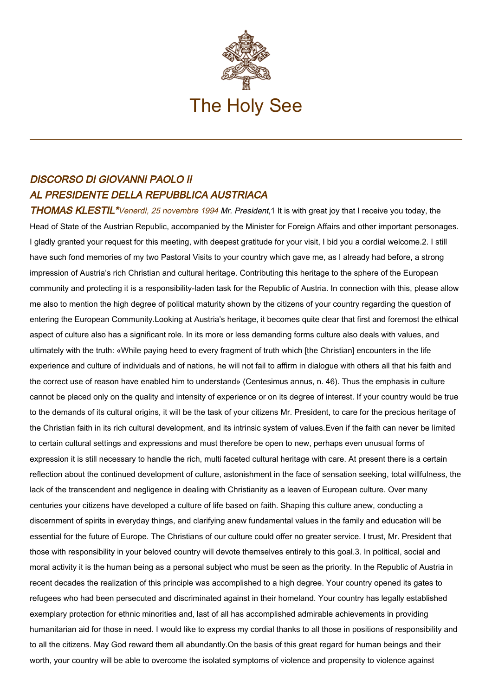

## DISCORSO DI GIOVANNI PAOLO II AL PRESIDENTE DELLA REPUBBLICA AUSTRIACA

THOMAS KLESTIL<sup>\*</sup>Venerdi, 25 novembre 1994 Mr. President,1 It is with great joy that I receive you today, the Head of State of the Austrian Republic, accompanied by the Minister for Foreign Affairs and other important personages. I gladly granted your request for this meeting, with deepest gratitude for your visit, I bid you a cordial welcome.2. I still have such fond memories of my two Pastoral Visits to your country which gave me, as I already had before, a strong impression of Austria's rich Christian and cultural heritage. Contributing this heritage to the sphere of the European community and protecting it is a responsibility-laden task for the Republic of Austria. In connection with this, please allow me also to mention the high degree of political maturity shown by the citizens of your country regarding the question of entering the European Community.Looking at Austria's heritage, it becomes quite clear that first and foremost the ethical aspect of culture also has a significant role. In its more or less demanding forms culture also deals with values, and ultimately with the truth: «While paying heed to every fragment of truth which [the Christian] encounters in the life experience and culture of individuals and of nations, he will not fail to affirm in dialogue with others all that his faith and the correct use of reason have enabled him to understand» (Centesimus annus, n. 46). Thus the emphasis in culture cannot be placed only on the quality and intensity of experience or on its degree of interest. If your country would be true to the demands of its cultural origins, it will be the task of your citizens Mr. President, to care for the precious heritage of the Christian faith in its rich cultural development, and its intrinsic system of values.Even if the faith can never be limited to certain cultural settings and expressions and must therefore be open to new, perhaps even unusual forms of expression it is still necessary to handle the rich, multi faceted cultural heritage with care. At present there is a certain reflection about the continued development of culture, astonishment in the face of sensation seeking, total willfulness, the lack of the transcendent and negligence in dealing with Christianity as a leaven of European culture. Over many centuries your citizens have developed a culture of life based on faith. Shaping this culture anew, conducting a discernment of spirits in everyday things, and clarifying anew fundamental values in the family and education will be essential for the future of Europe. The Christians of our culture could offer no greater service. I trust, Mr. President that those with responsibility in your beloved country will devote themselves entirely to this goal.3. In political, social and moral activity it is the human being as a personal subject who must be seen as the priority. In the Republic of Austria in recent decades the realization of this principle was accomplished to a high degree. Your country opened its gates to refugees who had been persecuted and discriminated against in their homeland. Your country has legally established exemplary protection for ethnic minorities and, last of all has accomplished admirable achievements in providing humanitarian aid for those in need. I would like to express my cordial thanks to all those in positions of responsibility and to all the citizens. May God reward them all abundantly.On the basis of this great regard for human beings and their worth, your country will be able to overcome the isolated symptoms of violence and propensity to violence against